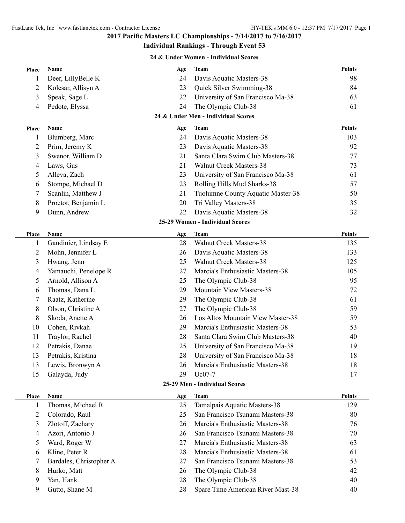**Individual Rankings - Through Event 53**

### **24 & Under Women - Individual Scores**

| Place          | Name                    | Age | <b>Team</b>                        | <b>Points</b> |
|----------------|-------------------------|-----|------------------------------------|---------------|
| 1              | Deer, LillyBelle K      | 24  | Davis Aquatic Masters-38           | 98            |
| $\overline{2}$ | Kolesar, Allisyn A      | 23  | Quick Silver Swimming-38           | 84            |
| 3              | Speak, Sage L           | 22  | University of San Francisco Ma-38  | 63            |
| 4              | Pedote, Elyssa          | 24  | The Olympic Club-38                | 61            |
|                |                         |     | 24 & Under Men - Individual Scores |               |
| <b>Place</b>   | Name                    | Age | <b>Team</b>                        | <b>Points</b> |
| $\mathbf{1}$   | Blumberg, Marc          | 24  | Davis Aquatic Masters-38           | 103           |
| 2              | Prim, Jeremy K          | 23  | Davis Aquatic Masters-38           | 92            |
| 3              | Swenor, William D       | 21  | Santa Clara Swim Club Masters-38   | 77            |
| 4              | Laws, Gus               | 21  | <b>Walnut Creek Masters-38</b>     | 73            |
| 5              | Alleva, Zach            | 23  | University of San Francisco Ma-38  | 61            |
| 6              | Stompe, Michael D       | 23  | Rolling Hills Mud Sharks-38        | 57            |
| 7              | Scanlin, Matthew J      | 21  | Tuolumne County Aquatic Master-38  | 50            |
| 8              | Proctor, Benjamin L     | 20  | Tri Valley Masters-38              | 35            |
| 9              | Dunn, Andrew            | 22  | Davis Aquatic Masters-38           | 32            |
|                |                         |     | 25-29 Women - Individual Scores    |               |
| Place          | <b>Name</b>             | Age | <b>Team</b>                        | <b>Points</b> |
| 1              | Gaudinier, Lindsay E    | 28  | <b>Walnut Creek Masters-38</b>     | 135           |
| $\overline{2}$ | Mohn, Jennifer L        | 26  | Davis Aquatic Masters-38           | 133           |
| 3              | Hwang, Jenn             | 25  | <b>Walnut Creek Masters-38</b>     | 125           |
| 4              | Yamauchi, Penelope R    | 27  | Marcia's Enthusiastic Masters-38   | 105           |
| 5              | Arnold, Allison A       | 25  | The Olympic Club-38                | 95            |
| 6              | Thomas, Dana L          | 29  | Mountain View Masters-38           | 72            |
| 7              | Raatz, Katherine        | 29  | The Olympic Club-38                | 61            |
| 8              | Olson, Christine A      | 27  | The Olympic Club-38                | 59            |
| 8              | Skoda, Anette A         | 26  | Los Altos Mountain View Master-38  | 59            |
| 10             | Cohen, Rivkah           | 29  | Marcia's Enthusiastic Masters-38   | 53            |
| 11             | Traylor, Rachel         | 28  | Santa Clara Swim Club Masters-38   | 40            |
| 12             | Petrakis, Danae         | 25  | University of San Francisco Ma-38  | 19            |
| 13             | Petrakis, Kristina      | 28  | University of San Francisco Ma-38  | 18            |
| 13             | Lewis, Bronwyn A        | 26  | Marcia's Enthusiastic Masters-38   | 18            |
| 15             | Galayda, Judy           | 29  | Uc07-7                             | 17            |
|                |                         |     | 25-29 Men - Individual Scores      |               |
| Place          | Name                    | Age | <b>Team</b>                        | <b>Points</b> |
| 1              | Thomas, Michael R       | 25  | Tamalpais Aquatic Masters-38       | 129           |
| 2              | Colorado, Raul          | 25  | San Francisco Tsunami Masters-38   | 80            |
| 3              | Zlotoff, Zachary        | 26  | Marcia's Enthusiastic Masters-38   | 76            |
| 4              | Azori, Antonio J        | 26  | San Francisco Tsunami Masters-38   | 70            |
| 5              | Ward, Roger W           | 27  | Marcia's Enthusiastic Masters-38   | 63            |
| 6              | Kline, Peter R          | 28  | Marcia's Enthusiastic Masters-38   | 61            |
| 7              | Bardales, Christopher A | 27  | San Francisco Tsunami Masters-38   | 53            |
| 8              | Hurko, Matt             | 26  | The Olympic Club-38                | 42            |
| 9              | Yan, Hank               | 28  | The Olympic Club-38                | 40            |
| 9              | Gutto, Shane M          | 28  | Spare Time American River Mast-38  | 40            |
|                |                         |     |                                    |               |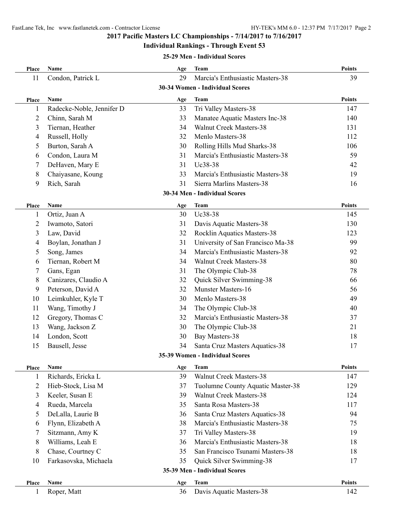#### **Individual Rankings - Through Event 53**

#### **25-29 Men - Individual Scores**

| Place          | Name                      | Age | <b>Team</b>                       | <b>Points</b> |
|----------------|---------------------------|-----|-----------------------------------|---------------|
| 11             | Condon, Patrick L         | 29  | Marcia's Enthusiastic Masters-38  | 39            |
|                |                           |     | 30-34 Women - Individual Scores   |               |
| Place          | Name                      | Age | <b>Team</b>                       | <b>Points</b> |
| 1              | Radecke-Noble, Jennifer D | 33  | Tri Valley Masters-38             | 147           |
| 2              | Chinn, Sarah M            | 33  | Manatee Aquatic Masters Inc-38    | 140           |
| 3              | Tiernan, Heather          | 34  | <b>Walnut Creek Masters-38</b>    | 131           |
| 4              | Russell, Holly            | 32  | Menlo Masters-38                  | 112           |
| 5              | Burton, Sarah A           | 30  | Rolling Hills Mud Sharks-38       | 106           |
| 6              | Condon, Laura M           | 31  | Marcia's Enthusiastic Masters-38  | 59            |
| 7              | DeHaven, Mary E           | 31  | Uc38-38                           | 42            |
| 8              | Chaiyasane, Koung         | 33  | Marcia's Enthusiastic Masters-38  | 19            |
| 9              | Rich, Sarah               | 31  | Sierra Marlins Masters-38         | 16            |
|                |                           |     | 30-34 Men - Individual Scores     |               |
| <b>Place</b>   | Name                      | Age | <b>Team</b>                       | <b>Points</b> |
| 1              | Ortiz, Juan A             | 30  | Uc38-38                           | 145           |
| $\overline{2}$ | Iwamoto, Satori           | 31  | Davis Aquatic Masters-38          | 130           |
| 3              | Law, David                | 32  | Rocklin Aquatics Masters-38       | 123           |
| 4              | Boylan, Jonathan J        | 31  | University of San Francisco Ma-38 | 99            |
| 5              | Song, James               | 34  | Marcia's Enthusiastic Masters-38  | 92            |
| 6              | Tiernan, Robert M         | 34  | <b>Walnut Creek Masters-38</b>    | 80            |
| 7              | Gans, Egan                | 31  | The Olympic Club-38               | 78            |
| 8              | Canizares, Claudio A      | 32  | Quick Silver Swimming-38          | 66            |
| 9              | Peterson, David A         | 32  | <b>Munster Masters-16</b>         | 56            |
| 10             | Leimkuhler, Kyle T        | 30  | Menlo Masters-38                  | 49            |
| 11             | Wang, Timothy J           | 34  | The Olympic Club-38               | 40            |
| 12             | Gregory, Thomas C         | 32  | Marcia's Enthusiastic Masters-38  | 37            |
| 13             | Wang, Jackson Z           | 30  | The Olympic Club-38               | 21            |
| 14             | London, Scott             | 30  | Bay Masters-38                    | 18            |
| 15             | Bausell, Jesse            | 34  | Santa Cruz Masters Aquatics-38    | 17            |
|                |                           |     | 35-39 Women - Individual Scores   |               |
| Place          | Name                      | Age | <b>Team</b>                       | <b>Points</b> |
| 1              | Richards, Ericka L        | 39  | Walnut Creek Masters-38           | 147           |
| $\overline{2}$ | Hieb-Stock, Lisa M        | 37  | Tuolumne County Aquatic Master-38 | 129           |
| 3              | Keeler, Susan E           | 39  | <b>Walnut Creek Masters-38</b>    | 124           |
| 4              | Rueda, Marcela            | 35  | Santa Rosa Masters-38             | 117           |
| 5              | DeLalla, Laurie B         | 36  | Santa Cruz Masters Aquatics-38    | 94            |
| 6              | Flynn, Elizabeth A        | 38  | Marcia's Enthusiastic Masters-38  | 75            |
| 7              | Sitzmann, Amy K           | 37  | Tri Valley Masters-38             | 19            |
| 8              | Williams, Leah E          | 36  | Marcia's Enthusiastic Masters-38  | 18            |
| 8              | Chase, Courtney C         | 35  | San Francisco Tsunami Masters-38  | 18            |
| 10             | Farkasovska, Michaela     | 35  | Quick Silver Swimming-38          | 17            |
|                |                           |     | 35-39 Men - Individual Scores     |               |
| Place          | Name                      | Age | <b>Team</b>                       | <b>Points</b> |
|                |                           |     |                                   |               |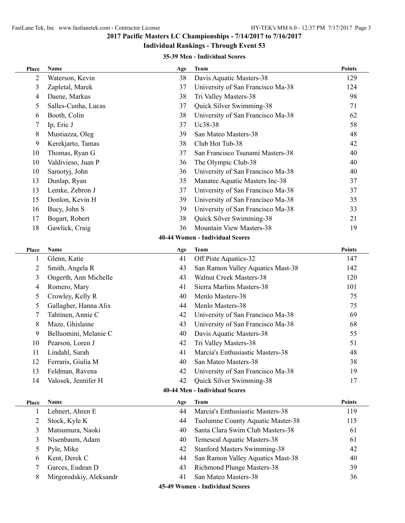### **Individual Rankings - Through Event 53**

### **35-39 Men - Individual Scores**

| 2<br>Waterson, Kevin<br>38<br>Davis Aquatic Masters-38<br>129<br>3<br>37<br>University of San Francisco Ma-38<br>Zapletal, Marek<br>124<br>Tri Valley Masters-38<br>Daene, Markus<br>38<br>98<br>4<br>Salles-Cunha, Lucas<br>Quick Silver Swimming-38<br>37<br>71<br>5<br>Booth, Colin<br>University of San Francisco Ma-38<br>38<br>62<br>6<br>Uc38-38<br>Ip, Eric J<br>37<br>58<br>7<br>San Mateo Masters-38<br>Mustiazza, Oleg<br>39<br>48<br>8<br>Kerekjarto, Tamas<br>38<br>Club Hot Tub-38<br>9<br>42<br>San Francisco Tsunami Masters-38<br>10<br>Thomas, Ryan G<br>37<br>40<br>Valdivieso, Juan P<br>The Olympic Club-38<br>10<br>36<br>40<br>Samotyj, John<br>University of San Francisco Ma-38<br>10<br>36<br>40<br>Dunlap, Ryan<br>13<br>35<br>Manatee Aquatic Masters Inc-38<br>37<br>13<br>Lemke, Zebron J<br>37<br>University of San Francisco Ma-38<br>37<br>15<br>Donlon, Kevin H<br>39<br>University of San Francisco Ma-38<br>35<br>Bucy, John S<br>University of San Francisco Ma-38<br>16<br>39<br>33<br>Bogart, Robert<br>38<br>Quick Silver Swimming-38<br>17<br>21<br>Mountain View Masters-38<br>36<br>18<br>Gawlick, Craig<br>19<br>40-44 Women - Individual Scores<br><b>Points</b><br>Name<br><b>Team</b><br>Place<br>Age<br>Glenn, Katie<br>41<br>Off Piste Aquatics-32<br>147<br>1<br>San Ramon Valley Aquatics Mast-38<br>$\overline{c}$<br>Smith, Angela R<br>43<br>142<br><b>Walnut Creek Masters-38</b><br>Ongerth, Ann Michelle<br>3<br>43<br>120<br>Romero, Mary<br>Sierra Marlins Masters-38<br>41<br>101<br>4<br>Menlo Masters-38<br>Crowley, Kelly R<br>40<br>75<br>5<br>Menlo Masters-38<br>Gallagher, Hanna Alix<br>44<br>75<br>5<br>Tahtinen, Annie C<br>University of San Francisco Ma-38<br>42<br>69<br>7<br>Maze, Ghislaine<br>University of San Francisco Ma-38<br>8<br>43<br>68<br>Belluomini, Melanie C<br>Davis Aquatic Masters-38<br>9<br>40<br>55<br>Pearson, Loren J<br>Tri Valley Masters-38<br>10<br>42<br>51<br>Lindahl, Sarah<br>Marcia's Enthusiastic Masters-38<br>11<br>41<br>48<br>38<br>12<br>Ferraris, Giulia M<br>40<br>San Mateo Masters-38<br>13<br>Feldman, Ravena<br>University of San Francisco Ma-38<br>42<br>19<br>14<br>Valosek, Jennifer H<br>42<br>Quick Silver Swimming-38<br>17<br>40-44 Men - Individual Scores<br><b>Points</b><br>Name<br><b>Team</b><br>Age<br>Place<br>Marcia's Enthusiastic Masters-38<br>Lehnert, Ahren E<br>44<br>119<br>1<br>2<br>Stock, Kyle K<br>Tuolumne County Aquatic Master-38<br>44<br>115<br>Santa Clara Swim Club Masters-38<br>Matsumura, Naoki<br>40<br>3<br>61<br>Nisenbaum, Adam<br>Temescal Aquatic Masters-38<br>3<br>40<br>61<br>Pyle, Mike<br>42<br><b>Stanford Masters Swimming-38</b><br>5<br>42<br>Kent, Derek C<br>San Ramon Valley Aquatics Mast-38<br>44<br>40<br>6<br>Garces, Eudean D<br>Richmond Plunge Masters-38<br>39<br>7<br>43<br>San Mateo Masters-38<br>Mirgorodskiy, Aleksandr<br>41<br>8<br>36<br>45-49 Women - Individual Scores | Place | Name | Age | <b>Team</b> | <b>Points</b> |
|-------------------------------------------------------------------------------------------------------------------------------------------------------------------------------------------------------------------------------------------------------------------------------------------------------------------------------------------------------------------------------------------------------------------------------------------------------------------------------------------------------------------------------------------------------------------------------------------------------------------------------------------------------------------------------------------------------------------------------------------------------------------------------------------------------------------------------------------------------------------------------------------------------------------------------------------------------------------------------------------------------------------------------------------------------------------------------------------------------------------------------------------------------------------------------------------------------------------------------------------------------------------------------------------------------------------------------------------------------------------------------------------------------------------------------------------------------------------------------------------------------------------------------------------------------------------------------------------------------------------------------------------------------------------------------------------------------------------------------------------------------------------------------------------------------------------------------------------------------------------------------------------------------------------------------------------------------------------------------------------------------------------------------------------------------------------------------------------------------------------------------------------------------------------------------------------------------------------------------------------------------------------------------------------------------------------------------------------------------------------------------------------------------------------------------------------------------------------------------------------------------------------------------------------------------------------------------------------------------------------------------------------------------------------------------------------------------------------------------------------------------------------------------------------------------------------------------------------------------------------------------------------------------------------------------------------------------------------------|-------|------|-----|-------------|---------------|
|                                                                                                                                                                                                                                                                                                                                                                                                                                                                                                                                                                                                                                                                                                                                                                                                                                                                                                                                                                                                                                                                                                                                                                                                                                                                                                                                                                                                                                                                                                                                                                                                                                                                                                                                                                                                                                                                                                                                                                                                                                                                                                                                                                                                                                                                                                                                                                                                                                                                                                                                                                                                                                                                                                                                                                                                                                                                                                                                                                         |       |      |     |             |               |
|                                                                                                                                                                                                                                                                                                                                                                                                                                                                                                                                                                                                                                                                                                                                                                                                                                                                                                                                                                                                                                                                                                                                                                                                                                                                                                                                                                                                                                                                                                                                                                                                                                                                                                                                                                                                                                                                                                                                                                                                                                                                                                                                                                                                                                                                                                                                                                                                                                                                                                                                                                                                                                                                                                                                                                                                                                                                                                                                                                         |       |      |     |             |               |
|                                                                                                                                                                                                                                                                                                                                                                                                                                                                                                                                                                                                                                                                                                                                                                                                                                                                                                                                                                                                                                                                                                                                                                                                                                                                                                                                                                                                                                                                                                                                                                                                                                                                                                                                                                                                                                                                                                                                                                                                                                                                                                                                                                                                                                                                                                                                                                                                                                                                                                                                                                                                                                                                                                                                                                                                                                                                                                                                                                         |       |      |     |             |               |
|                                                                                                                                                                                                                                                                                                                                                                                                                                                                                                                                                                                                                                                                                                                                                                                                                                                                                                                                                                                                                                                                                                                                                                                                                                                                                                                                                                                                                                                                                                                                                                                                                                                                                                                                                                                                                                                                                                                                                                                                                                                                                                                                                                                                                                                                                                                                                                                                                                                                                                                                                                                                                                                                                                                                                                                                                                                                                                                                                                         |       |      |     |             |               |
|                                                                                                                                                                                                                                                                                                                                                                                                                                                                                                                                                                                                                                                                                                                                                                                                                                                                                                                                                                                                                                                                                                                                                                                                                                                                                                                                                                                                                                                                                                                                                                                                                                                                                                                                                                                                                                                                                                                                                                                                                                                                                                                                                                                                                                                                                                                                                                                                                                                                                                                                                                                                                                                                                                                                                                                                                                                                                                                                                                         |       |      |     |             |               |
|                                                                                                                                                                                                                                                                                                                                                                                                                                                                                                                                                                                                                                                                                                                                                                                                                                                                                                                                                                                                                                                                                                                                                                                                                                                                                                                                                                                                                                                                                                                                                                                                                                                                                                                                                                                                                                                                                                                                                                                                                                                                                                                                                                                                                                                                                                                                                                                                                                                                                                                                                                                                                                                                                                                                                                                                                                                                                                                                                                         |       |      |     |             |               |
|                                                                                                                                                                                                                                                                                                                                                                                                                                                                                                                                                                                                                                                                                                                                                                                                                                                                                                                                                                                                                                                                                                                                                                                                                                                                                                                                                                                                                                                                                                                                                                                                                                                                                                                                                                                                                                                                                                                                                                                                                                                                                                                                                                                                                                                                                                                                                                                                                                                                                                                                                                                                                                                                                                                                                                                                                                                                                                                                                                         |       |      |     |             |               |
|                                                                                                                                                                                                                                                                                                                                                                                                                                                                                                                                                                                                                                                                                                                                                                                                                                                                                                                                                                                                                                                                                                                                                                                                                                                                                                                                                                                                                                                                                                                                                                                                                                                                                                                                                                                                                                                                                                                                                                                                                                                                                                                                                                                                                                                                                                                                                                                                                                                                                                                                                                                                                                                                                                                                                                                                                                                                                                                                                                         |       |      |     |             |               |
|                                                                                                                                                                                                                                                                                                                                                                                                                                                                                                                                                                                                                                                                                                                                                                                                                                                                                                                                                                                                                                                                                                                                                                                                                                                                                                                                                                                                                                                                                                                                                                                                                                                                                                                                                                                                                                                                                                                                                                                                                                                                                                                                                                                                                                                                                                                                                                                                                                                                                                                                                                                                                                                                                                                                                                                                                                                                                                                                                                         |       |      |     |             |               |
|                                                                                                                                                                                                                                                                                                                                                                                                                                                                                                                                                                                                                                                                                                                                                                                                                                                                                                                                                                                                                                                                                                                                                                                                                                                                                                                                                                                                                                                                                                                                                                                                                                                                                                                                                                                                                                                                                                                                                                                                                                                                                                                                                                                                                                                                                                                                                                                                                                                                                                                                                                                                                                                                                                                                                                                                                                                                                                                                                                         |       |      |     |             |               |
|                                                                                                                                                                                                                                                                                                                                                                                                                                                                                                                                                                                                                                                                                                                                                                                                                                                                                                                                                                                                                                                                                                                                                                                                                                                                                                                                                                                                                                                                                                                                                                                                                                                                                                                                                                                                                                                                                                                                                                                                                                                                                                                                                                                                                                                                                                                                                                                                                                                                                                                                                                                                                                                                                                                                                                                                                                                                                                                                                                         |       |      |     |             |               |
|                                                                                                                                                                                                                                                                                                                                                                                                                                                                                                                                                                                                                                                                                                                                                                                                                                                                                                                                                                                                                                                                                                                                                                                                                                                                                                                                                                                                                                                                                                                                                                                                                                                                                                                                                                                                                                                                                                                                                                                                                                                                                                                                                                                                                                                                                                                                                                                                                                                                                                                                                                                                                                                                                                                                                                                                                                                                                                                                                                         |       |      |     |             |               |
|                                                                                                                                                                                                                                                                                                                                                                                                                                                                                                                                                                                                                                                                                                                                                                                                                                                                                                                                                                                                                                                                                                                                                                                                                                                                                                                                                                                                                                                                                                                                                                                                                                                                                                                                                                                                                                                                                                                                                                                                                                                                                                                                                                                                                                                                                                                                                                                                                                                                                                                                                                                                                                                                                                                                                                                                                                                                                                                                                                         |       |      |     |             |               |
|                                                                                                                                                                                                                                                                                                                                                                                                                                                                                                                                                                                                                                                                                                                                                                                                                                                                                                                                                                                                                                                                                                                                                                                                                                                                                                                                                                                                                                                                                                                                                                                                                                                                                                                                                                                                                                                                                                                                                                                                                                                                                                                                                                                                                                                                                                                                                                                                                                                                                                                                                                                                                                                                                                                                                                                                                                                                                                                                                                         |       |      |     |             |               |
|                                                                                                                                                                                                                                                                                                                                                                                                                                                                                                                                                                                                                                                                                                                                                                                                                                                                                                                                                                                                                                                                                                                                                                                                                                                                                                                                                                                                                                                                                                                                                                                                                                                                                                                                                                                                                                                                                                                                                                                                                                                                                                                                                                                                                                                                                                                                                                                                                                                                                                                                                                                                                                                                                                                                                                                                                                                                                                                                                                         |       |      |     |             |               |
|                                                                                                                                                                                                                                                                                                                                                                                                                                                                                                                                                                                                                                                                                                                                                                                                                                                                                                                                                                                                                                                                                                                                                                                                                                                                                                                                                                                                                                                                                                                                                                                                                                                                                                                                                                                                                                                                                                                                                                                                                                                                                                                                                                                                                                                                                                                                                                                                                                                                                                                                                                                                                                                                                                                                                                                                                                                                                                                                                                         |       |      |     |             |               |
|                                                                                                                                                                                                                                                                                                                                                                                                                                                                                                                                                                                                                                                                                                                                                                                                                                                                                                                                                                                                                                                                                                                                                                                                                                                                                                                                                                                                                                                                                                                                                                                                                                                                                                                                                                                                                                                                                                                                                                                                                                                                                                                                                                                                                                                                                                                                                                                                                                                                                                                                                                                                                                                                                                                                                                                                                                                                                                                                                                         |       |      |     |             |               |
|                                                                                                                                                                                                                                                                                                                                                                                                                                                                                                                                                                                                                                                                                                                                                                                                                                                                                                                                                                                                                                                                                                                                                                                                                                                                                                                                                                                                                                                                                                                                                                                                                                                                                                                                                                                                                                                                                                                                                                                                                                                                                                                                                                                                                                                                                                                                                                                                                                                                                                                                                                                                                                                                                                                                                                                                                                                                                                                                                                         |       |      |     |             |               |
|                                                                                                                                                                                                                                                                                                                                                                                                                                                                                                                                                                                                                                                                                                                                                                                                                                                                                                                                                                                                                                                                                                                                                                                                                                                                                                                                                                                                                                                                                                                                                                                                                                                                                                                                                                                                                                                                                                                                                                                                                                                                                                                                                                                                                                                                                                                                                                                                                                                                                                                                                                                                                                                                                                                                                                                                                                                                                                                                                                         |       |      |     |             |               |
|                                                                                                                                                                                                                                                                                                                                                                                                                                                                                                                                                                                                                                                                                                                                                                                                                                                                                                                                                                                                                                                                                                                                                                                                                                                                                                                                                                                                                                                                                                                                                                                                                                                                                                                                                                                                                                                                                                                                                                                                                                                                                                                                                                                                                                                                                                                                                                                                                                                                                                                                                                                                                                                                                                                                                                                                                                                                                                                                                                         |       |      |     |             |               |
|                                                                                                                                                                                                                                                                                                                                                                                                                                                                                                                                                                                                                                                                                                                                                                                                                                                                                                                                                                                                                                                                                                                                                                                                                                                                                                                                                                                                                                                                                                                                                                                                                                                                                                                                                                                                                                                                                                                                                                                                                                                                                                                                                                                                                                                                                                                                                                                                                                                                                                                                                                                                                                                                                                                                                                                                                                                                                                                                                                         |       |      |     |             |               |
|                                                                                                                                                                                                                                                                                                                                                                                                                                                                                                                                                                                                                                                                                                                                                                                                                                                                                                                                                                                                                                                                                                                                                                                                                                                                                                                                                                                                                                                                                                                                                                                                                                                                                                                                                                                                                                                                                                                                                                                                                                                                                                                                                                                                                                                                                                                                                                                                                                                                                                                                                                                                                                                                                                                                                                                                                                                                                                                                                                         |       |      |     |             |               |
|                                                                                                                                                                                                                                                                                                                                                                                                                                                                                                                                                                                                                                                                                                                                                                                                                                                                                                                                                                                                                                                                                                                                                                                                                                                                                                                                                                                                                                                                                                                                                                                                                                                                                                                                                                                                                                                                                                                                                                                                                                                                                                                                                                                                                                                                                                                                                                                                                                                                                                                                                                                                                                                                                                                                                                                                                                                                                                                                                                         |       |      |     |             |               |
|                                                                                                                                                                                                                                                                                                                                                                                                                                                                                                                                                                                                                                                                                                                                                                                                                                                                                                                                                                                                                                                                                                                                                                                                                                                                                                                                                                                                                                                                                                                                                                                                                                                                                                                                                                                                                                                                                                                                                                                                                                                                                                                                                                                                                                                                                                                                                                                                                                                                                                                                                                                                                                                                                                                                                                                                                                                                                                                                                                         |       |      |     |             |               |
|                                                                                                                                                                                                                                                                                                                                                                                                                                                                                                                                                                                                                                                                                                                                                                                                                                                                                                                                                                                                                                                                                                                                                                                                                                                                                                                                                                                                                                                                                                                                                                                                                                                                                                                                                                                                                                                                                                                                                                                                                                                                                                                                                                                                                                                                                                                                                                                                                                                                                                                                                                                                                                                                                                                                                                                                                                                                                                                                                                         |       |      |     |             |               |
|                                                                                                                                                                                                                                                                                                                                                                                                                                                                                                                                                                                                                                                                                                                                                                                                                                                                                                                                                                                                                                                                                                                                                                                                                                                                                                                                                                                                                                                                                                                                                                                                                                                                                                                                                                                                                                                                                                                                                                                                                                                                                                                                                                                                                                                                                                                                                                                                                                                                                                                                                                                                                                                                                                                                                                                                                                                                                                                                                                         |       |      |     |             |               |
|                                                                                                                                                                                                                                                                                                                                                                                                                                                                                                                                                                                                                                                                                                                                                                                                                                                                                                                                                                                                                                                                                                                                                                                                                                                                                                                                                                                                                                                                                                                                                                                                                                                                                                                                                                                                                                                                                                                                                                                                                                                                                                                                                                                                                                                                                                                                                                                                                                                                                                                                                                                                                                                                                                                                                                                                                                                                                                                                                                         |       |      |     |             |               |
|                                                                                                                                                                                                                                                                                                                                                                                                                                                                                                                                                                                                                                                                                                                                                                                                                                                                                                                                                                                                                                                                                                                                                                                                                                                                                                                                                                                                                                                                                                                                                                                                                                                                                                                                                                                                                                                                                                                                                                                                                                                                                                                                                                                                                                                                                                                                                                                                                                                                                                                                                                                                                                                                                                                                                                                                                                                                                                                                                                         |       |      |     |             |               |
|                                                                                                                                                                                                                                                                                                                                                                                                                                                                                                                                                                                                                                                                                                                                                                                                                                                                                                                                                                                                                                                                                                                                                                                                                                                                                                                                                                                                                                                                                                                                                                                                                                                                                                                                                                                                                                                                                                                                                                                                                                                                                                                                                                                                                                                                                                                                                                                                                                                                                                                                                                                                                                                                                                                                                                                                                                                                                                                                                                         |       |      |     |             |               |
|                                                                                                                                                                                                                                                                                                                                                                                                                                                                                                                                                                                                                                                                                                                                                                                                                                                                                                                                                                                                                                                                                                                                                                                                                                                                                                                                                                                                                                                                                                                                                                                                                                                                                                                                                                                                                                                                                                                                                                                                                                                                                                                                                                                                                                                                                                                                                                                                                                                                                                                                                                                                                                                                                                                                                                                                                                                                                                                                                                         |       |      |     |             |               |
|                                                                                                                                                                                                                                                                                                                                                                                                                                                                                                                                                                                                                                                                                                                                                                                                                                                                                                                                                                                                                                                                                                                                                                                                                                                                                                                                                                                                                                                                                                                                                                                                                                                                                                                                                                                                                                                                                                                                                                                                                                                                                                                                                                                                                                                                                                                                                                                                                                                                                                                                                                                                                                                                                                                                                                                                                                                                                                                                                                         |       |      |     |             |               |
|                                                                                                                                                                                                                                                                                                                                                                                                                                                                                                                                                                                                                                                                                                                                                                                                                                                                                                                                                                                                                                                                                                                                                                                                                                                                                                                                                                                                                                                                                                                                                                                                                                                                                                                                                                                                                                                                                                                                                                                                                                                                                                                                                                                                                                                                                                                                                                                                                                                                                                                                                                                                                                                                                                                                                                                                                                                                                                                                                                         |       |      |     |             |               |
|                                                                                                                                                                                                                                                                                                                                                                                                                                                                                                                                                                                                                                                                                                                                                                                                                                                                                                                                                                                                                                                                                                                                                                                                                                                                                                                                                                                                                                                                                                                                                                                                                                                                                                                                                                                                                                                                                                                                                                                                                                                                                                                                                                                                                                                                                                                                                                                                                                                                                                                                                                                                                                                                                                                                                                                                                                                                                                                                                                         |       |      |     |             |               |
|                                                                                                                                                                                                                                                                                                                                                                                                                                                                                                                                                                                                                                                                                                                                                                                                                                                                                                                                                                                                                                                                                                                                                                                                                                                                                                                                                                                                                                                                                                                                                                                                                                                                                                                                                                                                                                                                                                                                                                                                                                                                                                                                                                                                                                                                                                                                                                                                                                                                                                                                                                                                                                                                                                                                                                                                                                                                                                                                                                         |       |      |     |             |               |
|                                                                                                                                                                                                                                                                                                                                                                                                                                                                                                                                                                                                                                                                                                                                                                                                                                                                                                                                                                                                                                                                                                                                                                                                                                                                                                                                                                                                                                                                                                                                                                                                                                                                                                                                                                                                                                                                                                                                                                                                                                                                                                                                                                                                                                                                                                                                                                                                                                                                                                                                                                                                                                                                                                                                                                                                                                                                                                                                                                         |       |      |     |             |               |
|                                                                                                                                                                                                                                                                                                                                                                                                                                                                                                                                                                                                                                                                                                                                                                                                                                                                                                                                                                                                                                                                                                                                                                                                                                                                                                                                                                                                                                                                                                                                                                                                                                                                                                                                                                                                                                                                                                                                                                                                                                                                                                                                                                                                                                                                                                                                                                                                                                                                                                                                                                                                                                                                                                                                                                                                                                                                                                                                                                         |       |      |     |             |               |
|                                                                                                                                                                                                                                                                                                                                                                                                                                                                                                                                                                                                                                                                                                                                                                                                                                                                                                                                                                                                                                                                                                                                                                                                                                                                                                                                                                                                                                                                                                                                                                                                                                                                                                                                                                                                                                                                                                                                                                                                                                                                                                                                                                                                                                                                                                                                                                                                                                                                                                                                                                                                                                                                                                                                                                                                                                                                                                                                                                         |       |      |     |             |               |
|                                                                                                                                                                                                                                                                                                                                                                                                                                                                                                                                                                                                                                                                                                                                                                                                                                                                                                                                                                                                                                                                                                                                                                                                                                                                                                                                                                                                                                                                                                                                                                                                                                                                                                                                                                                                                                                                                                                                                                                                                                                                                                                                                                                                                                                                                                                                                                                                                                                                                                                                                                                                                                                                                                                                                                                                                                                                                                                                                                         |       |      |     |             |               |
|                                                                                                                                                                                                                                                                                                                                                                                                                                                                                                                                                                                                                                                                                                                                                                                                                                                                                                                                                                                                                                                                                                                                                                                                                                                                                                                                                                                                                                                                                                                                                                                                                                                                                                                                                                                                                                                                                                                                                                                                                                                                                                                                                                                                                                                                                                                                                                                                                                                                                                                                                                                                                                                                                                                                                                                                                                                                                                                                                                         |       |      |     |             |               |
|                                                                                                                                                                                                                                                                                                                                                                                                                                                                                                                                                                                                                                                                                                                                                                                                                                                                                                                                                                                                                                                                                                                                                                                                                                                                                                                                                                                                                                                                                                                                                                                                                                                                                                                                                                                                                                                                                                                                                                                                                                                                                                                                                                                                                                                                                                                                                                                                                                                                                                                                                                                                                                                                                                                                                                                                                                                                                                                                                                         |       |      |     |             |               |
|                                                                                                                                                                                                                                                                                                                                                                                                                                                                                                                                                                                                                                                                                                                                                                                                                                                                                                                                                                                                                                                                                                                                                                                                                                                                                                                                                                                                                                                                                                                                                                                                                                                                                                                                                                                                                                                                                                                                                                                                                                                                                                                                                                                                                                                                                                                                                                                                                                                                                                                                                                                                                                                                                                                                                                                                                                                                                                                                                                         |       |      |     |             |               |
|                                                                                                                                                                                                                                                                                                                                                                                                                                                                                                                                                                                                                                                                                                                                                                                                                                                                                                                                                                                                                                                                                                                                                                                                                                                                                                                                                                                                                                                                                                                                                                                                                                                                                                                                                                                                                                                                                                                                                                                                                                                                                                                                                                                                                                                                                                                                                                                                                                                                                                                                                                                                                                                                                                                                                                                                                                                                                                                                                                         |       |      |     |             |               |
|                                                                                                                                                                                                                                                                                                                                                                                                                                                                                                                                                                                                                                                                                                                                                                                                                                                                                                                                                                                                                                                                                                                                                                                                                                                                                                                                                                                                                                                                                                                                                                                                                                                                                                                                                                                                                                                                                                                                                                                                                                                                                                                                                                                                                                                                                                                                                                                                                                                                                                                                                                                                                                                                                                                                                                                                                                                                                                                                                                         |       |      |     |             |               |
|                                                                                                                                                                                                                                                                                                                                                                                                                                                                                                                                                                                                                                                                                                                                                                                                                                                                                                                                                                                                                                                                                                                                                                                                                                                                                                                                                                                                                                                                                                                                                                                                                                                                                                                                                                                                                                                                                                                                                                                                                                                                                                                                                                                                                                                                                                                                                                                                                                                                                                                                                                                                                                                                                                                                                                                                                                                                                                                                                                         |       |      |     |             |               |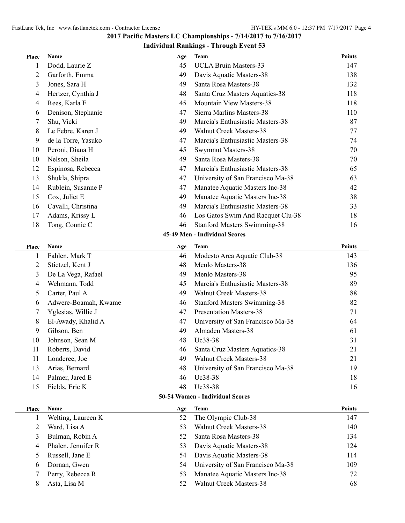| Place | Name                 | Age | <b>Team</b>                         | <b>Points</b> |
|-------|----------------------|-----|-------------------------------------|---------------|
| 1     | Dodd, Laurie Z       | 45  | <b>UCLA Bruin Masters-33</b>        | 147           |
| 2     | Garforth, Emma       | 49  | Davis Aquatic Masters-38            | 138           |
| 3     | Jones, Sara H        | 49  | Santa Rosa Masters-38               | 132           |
| 4     | Hertzer, Cynthia J   | 48  | Santa Cruz Masters Aquatics-38      | 118           |
| 4     | Rees, Karla E        | 45  | Mountain View Masters-38            | 118           |
| 6     | Denison, Stephanie   | 47  | Sierra Marlins Masters-38           | 110           |
| 7     | Shu, Vicki           | 49  | Marcia's Enthusiastic Masters-38    | 87            |
| 8     | Le Febre, Karen J    | 49  | <b>Walnut Creek Masters-38</b>      | 77            |
| 9     | de la Torre, Yasuko  | 47  | Marcia's Enthusiastic Masters-38    | 74            |
| 10    | Peroni, Diana H      | 45  | <b>Swymnut Masters-38</b>           | 70            |
| 10    | Nelson, Sheila       | 49  | Santa Rosa Masters-38               | 70            |
| 12    | Espinosa, Rebecca    | 47  | Marcia's Enthusiastic Masters-38    | 65            |
| 13    | Shukla, Shipra       | 47  | University of San Francisco Ma-38   | 63            |
| 14    | Rublein, Susanne P   | 47  | Manatee Aquatic Masters Inc-38      | 42            |
| 15    | Cox, Juliet E        | 49  | Manatee Aquatic Masters Inc-38      | 38            |
| 16    | Cavalli, Christina   | 49  | Marcia's Enthusiastic Masters-38    | 33            |
| 17    | Adams, Krissy L      | 46  | Los Gatos Swim And Racquet Clu-38   | 18            |
| 18    | Tong, Connie C       | 46  | <b>Stanford Masters Swimming-38</b> | 16            |
|       |                      |     | 45-49 Men - Individual Scores       |               |
| Place | Name                 | Age | <b>Team</b>                         | <b>Points</b> |
| 1     | Fahlen, Mark T       | 46  | Modesto Area Aquatic Club-38        | 143           |
| 2     | Stietzel, Kent J     | 48  | Menlo Masters-38                    | 136           |
| 3     | De La Vega, Rafael   | 49  | Menlo Masters-38                    | 95            |
| 4     | Wehmann, Todd        | 45  | Marcia's Enthusiastic Masters-38    | 89            |
| 5     | Carter, Paul A       | 49  | Walnut Creek Masters-38             | 88            |
| 6     | Adwere-Boamah, Kwame | 46  | <b>Stanford Masters Swimming-38</b> | 82            |
| 7     | Yglesias, Willie J   | 47  | <b>Presentation Masters-38</b>      | 71            |
| 8     | El-Awady, Khalid A   | 47  | University of San Francisco Ma-38   | 64            |
| 9     | Gibson, Ben          | 49  | Almaden Masters-38                  | 61            |
| 10    | Johnson, Sean M      | 48  | Uc38-38                             | 31            |
| 11    | Roberts, David       | 46  | Santa Cruz Masters Aquatics-38      | 21            |
| 11    | Londeree, Joe        | 49  | <b>Walnut Creek Masters-38</b>      | 21            |
| 13    | Arias, Bernard       | 48  | University of San Francisco Ma-38   | 19            |
| 14    | Palmer, Jared E      | 46  | Uc38-38                             | 18            |
| 15    | Fields, Eric K       | 48  | Uc38-38                             | 16            |
|       |                      |     | 50-54 Women - Individual Scores     |               |
| Place | Name                 | Age | <b>Team</b>                         | <b>Points</b> |
| 1     | Welting, Laureen K   | 52  | The Olympic Club-38                 | 147           |
| 2     | Ward, Lisa A         | 53  | <b>Walnut Creek Masters-38</b>      | 140           |
| 3     | Bulman, Robin A      | 52  | Santa Rosa Masters-38               | 134           |
| 4     | Phalen, Jennifer R   | 53  | Davis Aquatic Masters-38            | 124           |
| 5     | Russell, Jane E      | 54  | Davis Aquatic Masters-38            | 114           |
| 6     | Dornan, Gwen         | 54  | University of San Francisco Ma-38   | 109           |
| 7     | Perry, Rebecca R     | 53  | Manatee Aquatic Masters Inc-38      | 72            |
| 8     | Asta, Lisa M         | 52  | Walnut Creek Masters-38             | 68            |
|       |                      |     |                                     |               |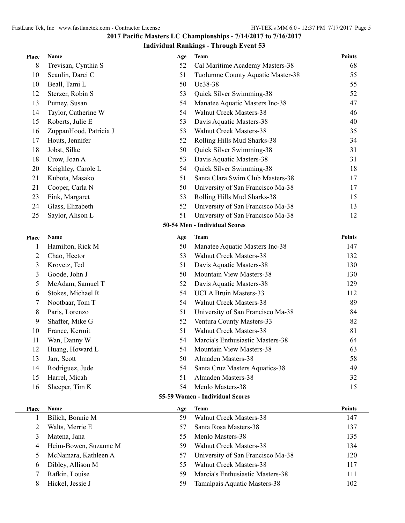| Place | Name                   | Age | <b>Team</b>                       | <b>Points</b> |
|-------|------------------------|-----|-----------------------------------|---------------|
| 8     | Trevisan, Cynthia S    | 52  | Cal Maritime Academy Masters-38   | 68            |
| 10    | Scanlin, Darci C       | 51  | Tuolumne County Aquatic Master-38 | 55            |
| 10    | Beall, Tami L          | 50  | Uc38-38                           | 55            |
| 12    | Sterzer, Robin S       | 53  | Quick Silver Swimming-38          | 52            |
| 13    | Putney, Susan          | 54  | Manatee Aquatic Masters Inc-38    | 47            |
| 14    | Taylor, Catherine W    | 54  | <b>Walnut Creek Masters-38</b>    | 46            |
| 15    | Roberts, Julie E       | 53  | Davis Aquatic Masters-38          | 40            |
| 16    | ZuppanHood, Patricia J | 53  | Walnut Creek Masters-38           | 35            |
| 17    | Houts, Jennifer        | 52  | Rolling Hills Mud Sharks-38       | 34            |
| 18    | Jobst, Silke           | 50  | Quick Silver Swimming-38          | 31            |
| 18    | Crow, Joan A           | 53  | Davis Aquatic Masters-38          | 31            |
| 20    | Keighley, Carole L     | 54  | Quick Silver Swimming-38          | 18            |
| 21    | Kubota, Masako         | 51  | Santa Clara Swim Club Masters-38  | 17            |
| 21    | Cooper, Carla N        | 50  | University of San Francisco Ma-38 | 17            |
| 23    | Fink, Margaret         | 53  | Rolling Hills Mud Sharks-38       | 15            |
| 24    | Glass, Elizabeth       | 52  | University of San Francisco Ma-38 | 13            |
| 25    | Saylor, Alison L       | 51  | University of San Francisco Ma-38 | 12            |
|       |                        |     | 50-54 Men - Individual Scores     |               |
| Place | Name                   | Age | <b>Team</b>                       | <b>Points</b> |
| 1     | Hamilton, Rick M       | 50  | Manatee Aquatic Masters Inc-38    | 147           |
| 2     | Chao, Hector           | 53  | <b>Walnut Creek Masters-38</b>    | 132           |
| 3     | Krovetz, Ted           | 51  | Davis Aquatic Masters-38          | 130           |
| 3     | Goode, John J          | 50  | Mountain View Masters-38          | 130           |
| 5     | McAdam, Samuel T       | 52  | Davis Aquatic Masters-38          | 129           |
| 6     | Stokes, Michael R      | 54  | <b>UCLA Bruin Masters-33</b>      | 112           |
| 7     | Nootbaar, Tom T        | 54  | Walnut Creek Masters-38           | 89            |
| 8     | Paris, Lorenzo         | 51  | University of San Francisco Ma-38 | 84            |
| 9     | Shaffer, Mike G        | 52  | Ventura County Masters-33         | 82            |
| 10    | France, Kermit         | 51  | <b>Walnut Creek Masters-38</b>    | 81            |
| 11    | Wan, Danny W           | 54  | Marcia's Enthusiastic Masters-38  | 64            |
| 12    | Huang, Howard L        | 54  | Mountain View Masters-38          | 63            |
| 13    | Jarr, Scott            | 50  | Almaden Masters-38                | 58            |
| 14    | Rodriguez, Jude        | 54  | Santa Cruz Masters Aquatics-38    | 49            |
| 15    | Harrel, Micah          | 51  | Almaden Masters-38                | 32            |
| 16    | Sheeper, Tim K         | 54  | Menlo Masters-38                  | 15            |
|       |                        |     | 55-59 Women - Individual Scores   |               |
| Place | Name                   | Age | <b>Team</b>                       | <b>Points</b> |
| 1     | Bilich, Bonnie M       | 59  | <b>Walnut Creek Masters-38</b>    | 147           |
| 2     | Walts, Merrie E        | 57  | Santa Rosa Masters-38             | 137           |
| 3     | Matena, Jana           | 55  | Menlo Masters-38                  | 135           |
| 4     | Heim-Bowen, Suzanne M  | 59  | <b>Walnut Creek Masters-38</b>    | 134           |
| 5     | McNamara, Kathleen A   | 57  | University of San Francisco Ma-38 | 120           |
| 6     | Dibley, Allison M      | 55  | <b>Walnut Creek Masters-38</b>    | 117           |
| 7     | Rafkin, Louise         | 59  | Marcia's Enthusiastic Masters-38  | 111           |
| 8     | Hickel, Jessie J       | 59  | Tamalpais Aquatic Masters-38      | 102           |
|       |                        |     |                                   |               |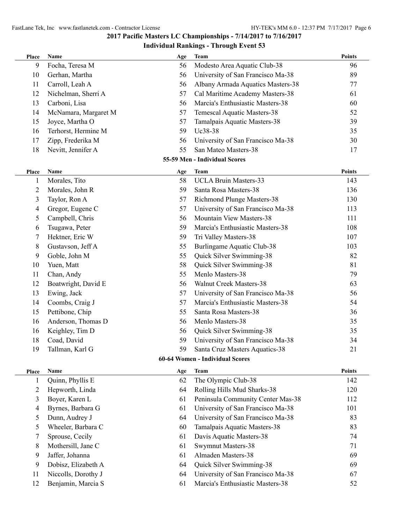| Place          | Name                 | Age | <b>Team</b>                       | <b>Points</b> |
|----------------|----------------------|-----|-----------------------------------|---------------|
| 9              | Focha, Teresa M      | 56  | Modesto Area Aquatic Club-38      | 96            |
| 10             | Gerhan, Martha       | 56  | University of San Francisco Ma-38 | 89            |
| 11             | Carroll, Leah A      | 56  | Albany Armada Aquatics Masters-38 | 77            |
| 12             | Nichelman, Sherri A  | 57  | Cal Maritime Academy Masters-38   | 61            |
| 13             | Carboni, Lisa        | 56  | Marcia's Enthusiastic Masters-38  | 60            |
| 14             | McNamara, Margaret M | 57  | Temescal Aquatic Masters-38       | 52            |
| 15             | Joyce, Martha O      | 57  | Tamalpais Aquatic Masters-38      | 39            |
| 16             | Terhorst, Hermine M  | 59  | Uc38-38                           | 35            |
| 17             | Zipp, Frederika M    | 56  | University of San Francisco Ma-38 | 30            |
| 18             | Nevitt, Jennifer A   | 55  | San Mateo Masters-38              | 17            |
|                |                      |     | 55-59 Men - Individual Scores     |               |
| Place          | Name                 | Age | <b>Team</b>                       | <b>Points</b> |
| 1              | Morales, Tito        | 58  | <b>UCLA Bruin Masters-33</b>      | 143           |
| $\overline{c}$ | Morales, John R      | 59  | Santa Rosa Masters-38             | 136           |
| 3              | Taylor, Ron A        | 57  | <b>Richmond Plunge Masters-38</b> | 130           |
| 4              | Gregor, Eugene C     | 57  | University of San Francisco Ma-38 | 113           |
| 5              | Campbell, Chris      | 56  | Mountain View Masters-38          | 111           |
| 6              | Tsugawa, Peter       | 59  | Marcia's Enthusiastic Masters-38  | 108           |
| 7              | Hektner, Eric W      | 59  | Tri Valley Masters-38             | 107           |
| 8              | Gustavson, Jeff A    | 55  | <b>Burlingame Aquatic Club-38</b> | 103           |
| 9              | Goble, John M        | 55  | Quick Silver Swimming-38          | 82            |
| 10             | Yuen, Matt           | 58  | Quick Silver Swimming-38          | 81            |
| 11             | Chan, Andy           | 55  | Menlo Masters-38                  | 79            |
| 12             | Boatwright, David E  | 56  | Walnut Creek Masters-38           | 63            |
| 13             | Ewing, Jack          | 57  | University of San Francisco Ma-38 | 56            |
| 14             | Coombs, Craig J      | 57  | Marcia's Enthusiastic Masters-38  | 54            |
| 15             | Pettibone, Chip      | 55  | Santa Rosa Masters-38             | 36            |
| 16             | Anderson, Thomas D   | 56  | Menlo Masters-38                  | 35            |
| 16             | Keighley, Tim D      | 56  | Quick Silver Swimming-38          | 35            |
| 18             | Coad, David          | 59  | University of San Francisco Ma-38 | 34            |
| 19             | Tallman, Karl G      |     | Santa Cruz Masters Aquatics-38    | 21            |
|                |                      |     | 60-64 Women - Individual Scores   |               |
| Place          | Name                 | Age | <b>Team</b>                       | <b>Points</b> |
| $\mathbf{1}$   | Quinn, Phyllis E     | 62  | The Olympic Club-38               | 142           |
| $\mathfrak{2}$ | Hepworth, Linda      | 64  | Rolling Hills Mud Sharks-38       | 120           |
| 3              | Boyer, Karen L       | 61  | Peninsula Community Center Mas-38 | 112           |
| 4              | Byrnes, Barbara G    | 61  | University of San Francisco Ma-38 | 101           |
| 5              | Dunn, Audrey J       | 64  | University of San Francisco Ma-38 | 83            |
| 5              | Wheeler, Barbara C   | 60  | Tamalpais Aquatic Masters-38      | 83            |
| 7              | Sprouse, Cecily      | 61  | Davis Aquatic Masters-38          | 74            |
| 8              | Mothersill, Jane C   | 61  | Swymnut Masters-38                | 71            |
| 9              | Jaffer, Johanna      | 61  | Almaden Masters-38                | 69            |
| 9              | Dobisz, Elizabeth A  | 64  | Quick Silver Swimming-38          | 69            |
| 11             | Niccolls, Dorothy J  | 64  | University of San Francisco Ma-38 | 67            |
| 12             | Benjamin, Marcia S   | 61  | Marcia's Enthusiastic Masters-38  | 52            |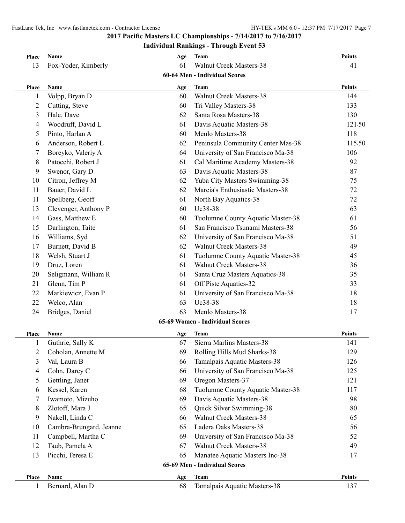## **Place Name Age Team Points** 13 Fox-Yoder, Kimberly 61 Walnut Creek Masters-38 41 **60-64 Men - Individual Scores Place Name Age Team Points** 1 Volpp, Bryan D 60 Walnut Creek Masters-38 144 2 Cutting, Steve 60 Tri Valley Masters-38 133 3 Hale, Dave 62 Santa Rosa Masters-38 130 4 Woodruff, David L 61 Davis Aquatic Masters-38 121.50 5 Pinto, Harlan A 60 Menlo Masters-38 118 6 Anderson, Robert L 62 Peninsula Community Center Mas-38 115 50 . 7 Boreyko, Valeriy A 64 University of San Francisco Ma-38 106 8 Patocchi, Robert J 61 Cal Maritime Academy Masters-38 92 9 Swenor, Gary D 63 Davis Aquatic Masters-38 87 10 Citron, Jeffrey M 62 Yuba City Masters Swimming-38 75 11 Bauer, David L 62 Marcia's Enthusiastic Masters-38 72 11 Spellberg, Geoff 61 North Bay Aquatics-38 72 13 Clevenger, Anthony P 60 Uc38-38 63 14 Gass, Matthew E 60 Tuolumne County Aquatic Master-38 61 15 Darlington, Taite 61 San Francisco Tsunami Masters-38 56 16 Williams, Syd 62 University of San Francisco Ma-38 51 17 Burnett, David B 62 Walnut Creek Masters-38 49 18 Welsh, Stuart J 61 Tuolumne County Aquatic Master-38 45 19 Druz, Loren 61 Walnut Creek Masters-38 36 20 Seligmann, William R 61 Santa Cruz Masters Aquatics-38 35 21 Glenn, Tim P 61 Off Piste Aquatics-32 33 22 Markiewicz, Evan P 61 University of San Francisco Ma-38 18 22 Welco, Alan 63 Uc38-38 18 24 Bridges, Daniel 63 Menlo Masters-38 17 **65-69 Women - Individual Scores Place Name Age Team Points** 1 Guthrie, Sally K 67 Sierra Marlins Masters-38 141 2 Coholan, Annette M 69 Rolling Hills Mud Sharks-38 129 3 Val, Laura B 66 Tamalpais Aquatic Masters-38 126 4 Cohn, Darcy C 66 University of San Francisco Ma-38 125 5 Gettling, Janet 121 6 Kessel, Karen 68 Tuolumne County Aquatic Master-38 117 7 Iwamoto, Mizuho 69 Davis Aquatic Masters-38 98 8 Zlotoff, Mara J 65 Quick Silver Swimming-38 80 9 Nakell, Linda C 66 Walnut Creek Masters-38 65 10 Cambra-Brungard, Jeanne 65 Ladera Oaks Masters-38 56 11 Campbell, Martha C 69 University of San Francisco Ma-38 52 12 Taub, Pamela A 67 Walnut Creek Masters-38 49 13 Picchi, Teresa E 65 Manatee Aquatic Masters Inc-38 17 **65-69 Men - Individual Scores Place Name Age Team Points** 1 Bernard, Alan D 68 Tamalpais Aquatic Masters-38 137

### **2017 Pacific Masters LC Championships - 7/14/2017 to 7/16/2017**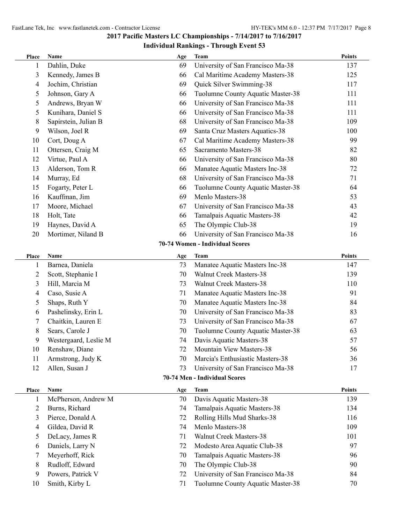| Place          | <b>Name</b>           | Age | <b>Team</b>                       | Points        |
|----------------|-----------------------|-----|-----------------------------------|---------------|
| 1              | Dahlin, Duke          | 69  | University of San Francisco Ma-38 | 137           |
| 3              | Kennedy, James B      | 66  | Cal Maritime Academy Masters-38   | 125           |
| 4              | Jochim, Christian     | 69  | Quick Silver Swimming-38          | 117           |
| 5              | Johnson, Gary A       | 66  | Tuolumne County Aquatic Master-38 | 111           |
| 5              | Andrews, Bryan W      | 66  | University of San Francisco Ma-38 | 111           |
| 5              | Kunihara, Daniel S    | 66  | University of San Francisco Ma-38 | 111           |
| 8              | Sapirstein, Julian B  | 68  | University of San Francisco Ma-38 | 109           |
| 9              | Wilson, Joel R        | 69  | Santa Cruz Masters Aquatics-38    | 100           |
| 10             | Cort, Doug A          | 67  | Cal Maritime Academy Masters-38   | 99            |
| 11             | Ottersen, Craig M     | 65  | Sacramento Masters-38             | 82            |
| 12             | Virtue, Paul A        | 66  | University of San Francisco Ma-38 | 80            |
| 13             | Alderson, Tom R       | 66  | Manatee Aquatic Masters Inc-38    | 72            |
| 14             | Murray, Ed            | 68  | University of San Francisco Ma-38 | 71            |
| 15             | Fogarty, Peter L      | 66  | Tuolumne County Aquatic Master-38 | 64            |
| 16             | Kauffman, Jim         | 69  | Menlo Masters-38                  | 53            |
| 17             | Moore, Michael        | 67  | University of San Francisco Ma-38 | 43            |
| 18             | Holt, Tate            | 66  | Tamalpais Aquatic Masters-38      | 42            |
| 19             | Haynes, David A       | 65  | The Olympic Club-38               | 19            |
| 20             | Mortimer, Niland B    | 66  | University of San Francisco Ma-38 | 16            |
|                |                       |     | 70-74 Women - Individual Scores   |               |
| Place          | Name                  | Age | <b>Team</b>                       | <b>Points</b> |
| 1              | Barnea, Daniela       | 73  | Manatee Aquatic Masters Inc-38    | 147           |
| $\overline{c}$ | Scott, Stephanie I    | 70  | <b>Walnut Creek Masters-38</b>    | 139           |
| 3              | Hill, Marcia M        | 73  | Walnut Creek Masters-38           | 110           |
| 4              | Caso, Susie A         | 71  | Manatee Aquatic Masters Inc-38    | 91            |
| 5              | Shaps, Ruth Y         | 70  | Manatee Aquatic Masters Inc-38    | 84            |
| 6              | Pashelinsky, Erin L   | 70  | University of San Francisco Ma-38 | 83            |
| 7              | Chaitkin, Lauren E    | 73  | University of San Francisco Ma-38 | 67            |
| 8              | Sears, Carole J       | 70  | Tuolumne County Aquatic Master-38 | 63            |
| 9              | Westergaard, Leslie M | 74  | Davis Aquatic Masters-38          | 57            |
| 10             | Renshaw, Diane        | 72  | Mountain View Masters-38          | 56            |
| 11             | Armstrong, Judy K     | 70  | Marcia's Enthusiastic Masters-38  | 36            |
| 12             | Allen, Susan J        | 73  | University of San Francisco Ma-38 | 17            |
|                |                       |     | 70-74 Men - Individual Scores     |               |
| Place          | <b>Name</b>           | Age | <b>Team</b>                       | <b>Points</b> |
| 1              | McPherson, Andrew M   | 70  | Davis Aquatic Masters-38          | 139           |
| 2              | Burns, Richard        | 74  | Tamalpais Aquatic Masters-38      | 134           |
| 3              | Pierce, Donald A      | 72  | Rolling Hills Mud Sharks-38       | 116           |
| 4              | Gildea, David R       | 74  | Menlo Masters-38                  | 109           |
| 5              | DeLacy, James R       | 71  | <b>Walnut Creek Masters-38</b>    | 101           |
| 6              | Daniels, Larry N      | 72  | Modesto Area Aquatic Club-38      | 97            |
| 7              | Meyerhoff, Rick       | 70  | Tamalpais Aquatic Masters-38      | 96            |
| 8              | Rudloff, Edward       | 70  | The Olympic Club-38               | 90            |
| 9              | Powers, Patrick V     | 72  | University of San Francisco Ma-38 | 84            |
| 10             | Smith, Kirby L        | 71  | Tuolumne County Aquatic Master-38 | 70            |
|                |                       |     |                                   |               |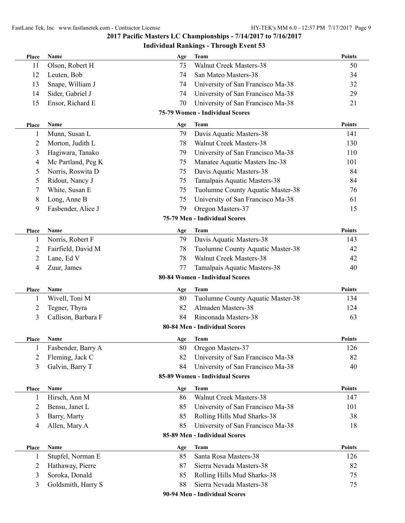| Place        | Name                                 | Age      | <b>Team</b>                                                          | <b>Points</b> |
|--------------|--------------------------------------|----------|----------------------------------------------------------------------|---------------|
| 11           | Olson, Robert H                      | 73       | <b>Walnut Creek Masters-38</b>                                       | 50            |
| 12           | Leuten, Bob                          | 74       | San Mateo Masters-38                                                 | 34            |
| 13           | Snape, William J                     | 74       | University of San Francisco Ma-38                                    | 32            |
| 14           | Sider, Gabriel J                     | 74       | University of San Francisco Ma-38                                    | 29            |
| 15           | Ensor, Richard E                     | 70       | University of San Francisco Ma-38                                    | 21            |
|              |                                      |          | 75-79 Women - Individual Scores                                      |               |
| <b>Place</b> | Name                                 | Age      | <b>Team</b>                                                          | <b>Points</b> |
| 1            | Munn, Susan L                        | 79       | Davis Aquatic Masters-38                                             | 141           |
| 2            | Morton, Judith L                     | 78       | <b>Walnut Creek Masters-38</b>                                       | 130           |
| 3            | Hagiwara, Tanako                     | 79       | University of San Francisco Ma-38                                    | 110           |
| 4            | Mc Partland, Peg K                   | 75       | Manatee Aquatic Masters Inc-38                                       | 101           |
| 5            | Norris, Roswita D                    | 75       | Davis Aquatic Masters-38                                             | 84            |
| 5            | Ridout, Nancy J                      | 75       | Tamalpais Aquatic Masters-38                                         | 84            |
| 7            | White, Susan E                       | 75       | Tuolumne County Aquatic Master-38                                    | 76            |
| 8            | Long, Anne B                         | 75       | University of San Francisco Ma-38                                    | 61            |
| 9            | Fasbender, Alice J                   | 79       | Oregon Masters-37                                                    | 15            |
|              |                                      |          | 75-79 Men - Individual Scores                                        |               |
| <b>Place</b> | Name                                 | Age      | Team                                                                 | <b>Points</b> |
| 1            | Norris, Robert F                     | 79       | Davis Aquatic Masters-38                                             | 143           |
| 2            | Fairfield, David M                   | 78       | Tuolumne County Aquatic Master-38                                    | 42            |
| 2            | Lane, Ed V                           | 78       | <b>Walnut Creek Masters-38</b>                                       | 42            |
| 4            | Zuur, James                          | 77       | Tamalpais Aquatic Masters-38                                         | 40            |
|              |                                      |          | 80-84 Women - Individual Scores                                      |               |
| Place        | Name                                 | Age      | <b>Team</b>                                                          | <b>Points</b> |
| 1            | Wivell, Toni M                       | 80       | Tuolumne County Aquatic Master-38                                    | 134           |
| 2            | Tegner, Thyra                        | 82       | Almaden Masters-38                                                   | 124           |
| 3            | Callison, Barbara F                  | 84       | Rinconada Masters-38                                                 | 63            |
|              |                                      |          | 80-84 Men - Individual Scores                                        |               |
| Place        | Name                                 | Age      | <b>Team</b>                                                          | <b>Points</b> |
| $\mathbf{1}$ | Fasbender, Barry A                   | 80       | Oregon Masters-37                                                    | 126           |
|              |                                      |          |                                                                      |               |
| 2            |                                      |          |                                                                      |               |
|              | Fleming, Jack C                      | 82       | University of San Francisco Ma-38                                    | 82            |
| 3            | Galvin, Barry T                      | 84       | University of San Francisco Ma-38<br>85-89 Women - Individual Scores | 40            |
|              |                                      |          |                                                                      |               |
| <b>Place</b> | Name                                 | Age      | <b>Team</b>                                                          | <b>Points</b> |
| 1            | Hirsch, Ann M                        | 86       | <b>Walnut Creek Masters-38</b>                                       | 147           |
| 2            | Bensu, Janet L                       | 85       | University of San Francisco Ma-38                                    | 101           |
| 3<br>4       | Barry, Marty                         | 85       | Rolling Hills Mud Sharks-38                                          | 38            |
|              | Allen, Mary A                        | 85       | University of San Francisco Ma-38<br>85-89 Men - Individual Scores   | 18            |
|              |                                      |          |                                                                      |               |
| <b>Place</b> | Name                                 | Age      | Team                                                                 | <b>Points</b> |
| 1            | Stupfel, Norman E                    | 85       | Santa Rosa Masters-38                                                | 126           |
| 2            | Hathaway, Pierre                     | 87       | Sierra Nevada Masters-38                                             | 82            |
| 3<br>3       | Soroka, Donald<br>Goldsmith, Harry S | 85<br>88 | Rolling Hills Mud Sharks-38<br>Sierra Nevada Masters-38              | 75<br>75      |